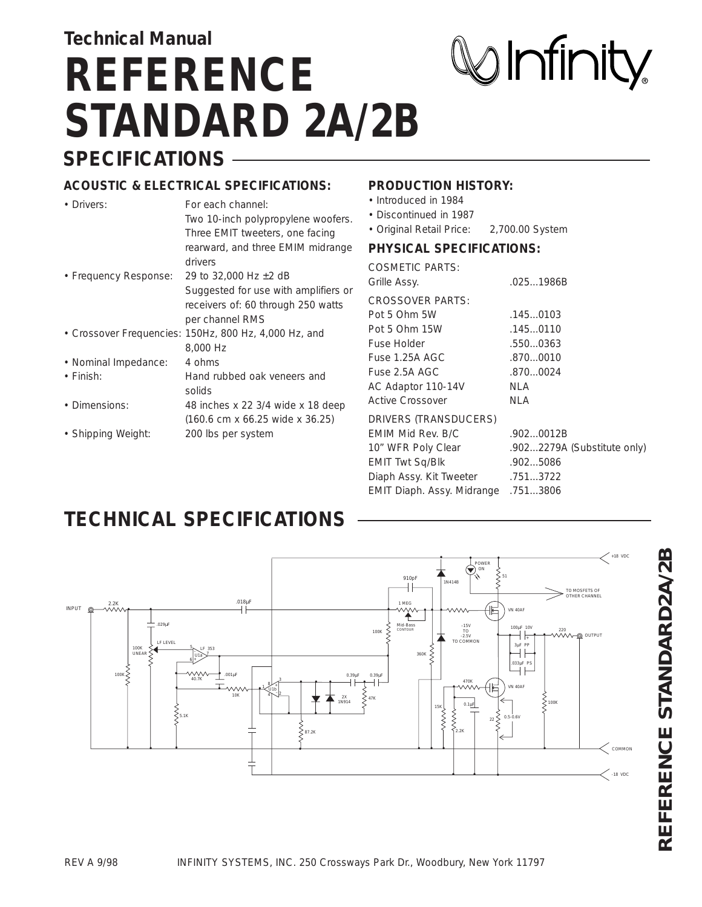# **SPECIFICATIONS Technical Manual REFERENCE STANDARD 2A/2B**

# $\bigcirc$  Infinity

#### **ACOUSTIC & ELECTRICAL SPECIFICATIONS:**

| • Drivers:            | For each channel:                                           | • Introdu        |
|-----------------------|-------------------------------------------------------------|------------------|
|                       | Two 10-inch polypropylene woofers.                          | • Discon         |
|                       | Three EMIT tweeters, one facing                             | • Origina        |
|                       | rearward, and three EMIM midrange                           | <b>PHYSIG</b>    |
|                       | drivers                                                     | <b>COSMET</b>    |
| • Frequency Response: | 29 to 32,000 Hz $\pm$ 2 dB                                  | Grille Ass       |
|                       | Suggested for use with amplifiers or                        |                  |
|                       | receivers of: 60 through 250 watts                          | <b>CROSSC</b>    |
|                       | per channel RMS                                             | Pot 5 Oh         |
|                       | • Crossover Frequencies: 150Hz, 800 Hz, 4,000 Hz, and       | Pot 5 Oh         |
|                       | 8,000 Hz                                                    | <b>Fuse Hol</b>  |
| • Nominal Impedance:  | 4 ohms                                                      | Fuse 1.2         |
| $\cdot$ Finish:       | Hand rubbed oak veneers and                                 | Fuse 2.5         |
|                       | solids                                                      | AC Adap          |
| • Dimensions:         | 48 inches x 22 3/4 wide x 18 deep                           | <b>Active Cr</b> |
|                       | $(160.6 \text{ cm} \times 66.25 \text{ wide} \times 36.25)$ | <b>DRIVERS</b>   |
| • Shipping Weight:    | 200 lbs per system                                          | <b>EMIM Mi</b>   |
|                       |                                                             | 10" WFR          |

#### **PRODUCTION HISTORY:**

- ced in 1984
- tinued in 1987
- Il Retail Price: 2,700.00 System

#### **PAL SPECIFICATIONS:**

| <b>COSMETIC PARTS:</b>              |                             |
|-------------------------------------|-----------------------------|
| Grille Assy.                        | .0251986B                   |
| <b>CROSSOVER PARTS:</b>             |                             |
| Pot 5 Ohm 5W                        | .1450103                    |
| Pot 5 Ohm 15W                       | .1450110                    |
| <b>Fuse Holder</b>                  | .5500363                    |
| Fuse 1.25A AGC                      | .8700010                    |
| Fuse 2.5A AGC                       | .8700024                    |
| AC Adaptor 110-14V                  | NLA                         |
| <b>Active Crossover</b>             | NLA                         |
| DRIVERS (TRANSDUCERS)               |                             |
| <b>EMIM Mid Rev. B/C</b>            | .9020012B                   |
| 10" WFR Poly Clear                  | .9022279A (Substitute only) |
| <b>EMIT Twt Sq/Blk</b>              | .9025086                    |
| Diaph Assy. Kit Tweeter             | .7513722                    |
| EMIT Diaph. Assy. Midrange .7513806 |                             |
|                                     |                             |

### **TECHNICAL SPECIFICATIONS**

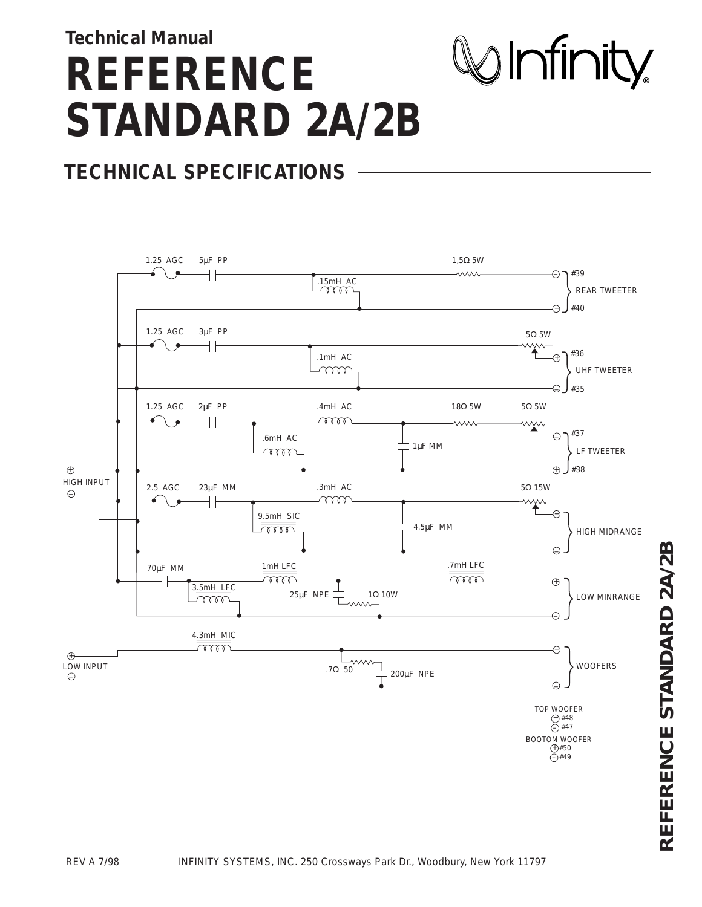# **Technical Manual REFERENCE STANDARD 2A/2B**



## **TECHNICAL SPECIFICATIONS**